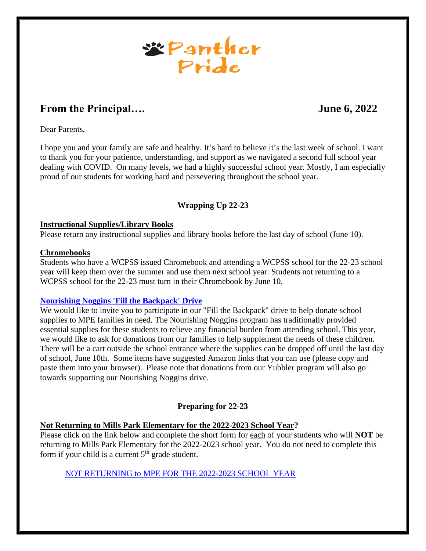

# **From the Principal….** June 6, 2022

Dear Parents,

I hope you and your family are safe and healthy. It's hard to believe it's the last week of school. I want to thank you for your patience, understanding, and support as we navigated a second full school year dealing with COVID. On many levels, we had a highly successful school year. Mostly, I am especially proud of our students for working hard and persevering throughout the school year.

# **Wrapping Up 22-23**

#### **Instructional Supplies/Library Books**

Please return any instructional supplies and library books before the last day of school (June 10).

#### **Chromebooks**

Students who have a WCPSS issued Chromebook and attending a WCPSS school for the 22-23 school year will keep them over the summer and use them next school year. Students not returning to a WCPSS school for the 22-23 must turn in their Chromebook by June 10.

#### **[Nourishing Noggins 'Fill the Backpack' Drive](https://www.signupgenius.com/go/10c0c45aba62babfb6-nourishing)**

We would like to invite you to participate in our "Fill the Backpack" drive to help donate school supplies to MPE families in need. The Nourishing Noggins program has traditionally provided essential supplies for these students to relieve any financial burden from attending school. This year, we would like to ask for donations from our families to help supplement the needs of these children. There will be a cart outside the school entrance where the supplies can be dropped off until the last day of school, June 10th. Some items have suggested Amazon links that you can use (please copy and paste them into your browser). Please note that donations from our Yubbler program will also go towards supporting our Nourishing Noggins drive.

#### **Preparing for 22-23**

#### **Not Returning to Mills Park Elementary for the 2022-2023 School Year?**

Please click on the link below and complete the short form for each of your students who will **NOT** be returning to Mills Park Elementary for the 2022-2023 school year. You do not need to complete this form if your child is a current  $5<sup>th</sup>$  grade student.

NOT RETURNING to MPE FOR THE [2022-2023 SCHOOL YEAR](https://forms.gle/ycxkZR2k6G9NFwho7)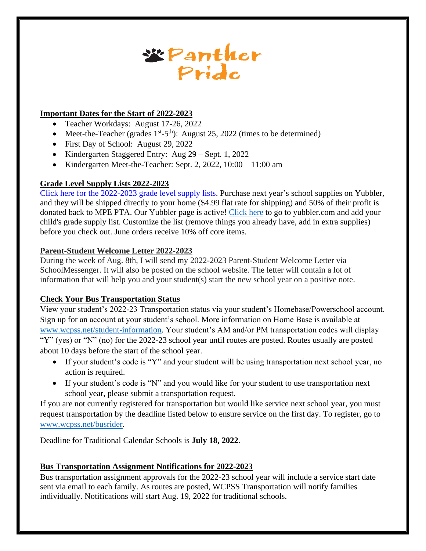

# **Important Dates for the Start of 2022-2023**

- Teacher Workdays: August 17-26, 2022
- Meet-the-Teacher (grades  $1^{st}$ -5<sup>th</sup>): August 25, 2022 (times to be determined)
- First Day of School: August 29, 2022
- Kindergarten Staggered Entry: Aug 29 Sept. 1, 2022
- Kindergarten Meet-the-Teacher: Sept. 2, 2022, 10:00 11:00 am

# **Grade Level Supply Lists 2022-2023**

Click here for the 2022-2023 [grade level supply lists.](https://docs.google.com/document/d/1l06eWDBZ8Mic96Tes9Md38Ide4wrk-rF/edit?usp=sharing&ouid=118345000794669592171&rtpof=true&sd=true) Purchase next year's school supplies on Yubbler, and they will be shipped directly to your home (\$4.99 flat rate for shipping) and 50% of their profit is donated back to MPE PTA. Our Yubbler page is active! [Click here](https://www.yubbler.com/school/mills-park-elementary) to go to yubbler.com and add your child's grade supply list. Customize the list (remove things you already have, add in extra supplies) before you check out. June orders receive 10% off core items.

# **Parent-Student Welcome Letter 2022-2023**

During the week of Aug. 8th, I will send my 2022-2023 Parent-Student Welcome Letter via SchoolMessenger. It will also be posted on the school website. The letter will contain a lot of information that will help you and your student(s) start the new school year on a positive note.

# **Check Your Bus Transportation Status**

View your student's 2022-23 Transportation status via your student's Homebase/Powerschool account. Sign up for an account at your student's school. More information on Home Base is available at [www.wcpss.net/student-information.](www.wcpss.net/student-information) Your student's AM and/or PM transportation codes will display "Y" (yes) or "N" (no) for the 2022-23 school year until routes are posted. Routes usually are posted about 10 days before the start of the school year.

- If your student's code is "Y" and your student will be using transportation next school year, no action is required.
- If your student's code is "N" and you would like for your student to use transportation next school year, please submit a transportation request.

If you are not currently registered for transportation but would like service next school year, you must request transportation by the deadline listed below to ensure service on the first day. To register, go to [www.wcpss.net/busrider.](www.wcpss.net/busrider)

Deadline for Traditional Calendar Schools is **July 18, 2022**.

# **Bus Transportation Assignment Notifications for 2022-2023**

Bus transportation assignment approvals for the 2022-23 school year will include a service start date sent via email to each family. As routes are posted, WCPSS Transportation will notify families individually. Notifications will start Aug. 19, 2022 for traditional schools.